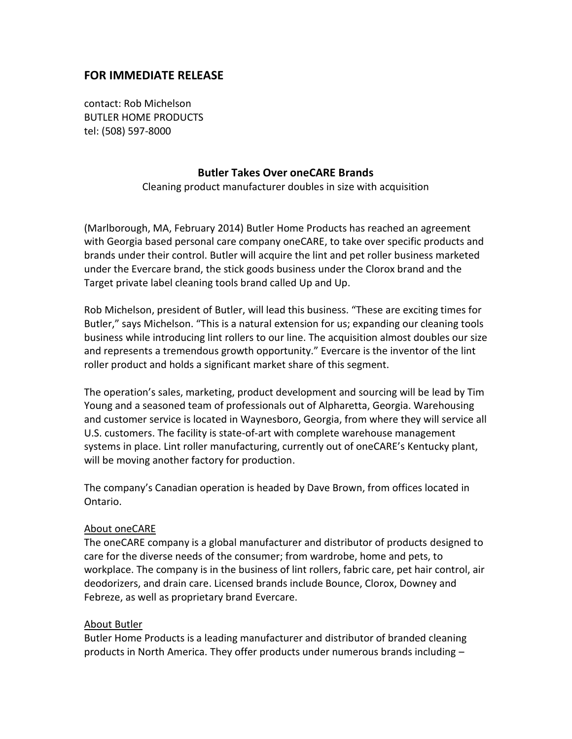## **FOR IMMEDIATE RELEASE**

contact: Rob Michelson BUTLER HOME PRODUCTS tel: (508) 597-8000

## **Butler Takes Over oneCARE Brands**

Cleaning product manufacturer doubles in size with acquisition

(Marlborough, MA, February 2014) Butler Home Products has reached an agreement with Georgia based personal care company oneCARE, to take over specific products and brands under their control. Butler will acquire the lint and pet roller business marketed under the Evercare brand, the stick goods business under the Clorox brand and the Target private label cleaning tools brand called Up and Up.

Rob Michelson, president of Butler, will lead this business. "These are exciting times for Butler," says Michelson. "This is a natural extension for us; expanding our cleaning tools business while introducing lint rollers to our line. The acquisition almost doubles our size and represents a tremendous growth opportunity." Evercare is the inventor of the lint roller product and holds a significant market share of this segment.

The operation's sales, marketing, product development and sourcing will be lead by Tim Young and a seasoned team of professionals out of Alpharetta, Georgia. Warehousing and customer service is located in Waynesboro, Georgia, from where they will service all U.S. customers. The facility is state-of-art with complete warehouse management systems in place. Lint roller manufacturing, currently out of oneCARE's Kentucky plant, will be moving another factory for production.

The company's Canadian operation is headed by Dave Brown, from offices located in Ontario.

## About oneCARE

The oneCARE company is a global manufacturer and distributor of products designed to care for the diverse needs of the consumer; from wardrobe, home and pets, to workplace. The company is in the business of lint rollers, fabric care, pet hair control, air deodorizers, and drain care. Licensed brands include Bounce, Clorox, Downey and Febreze, as well as proprietary brand Evercare.

## About Butler

Butler Home Products is a leading manufacturer and distributor of branded cleaning products in North America. They offer products under numerous brands including –